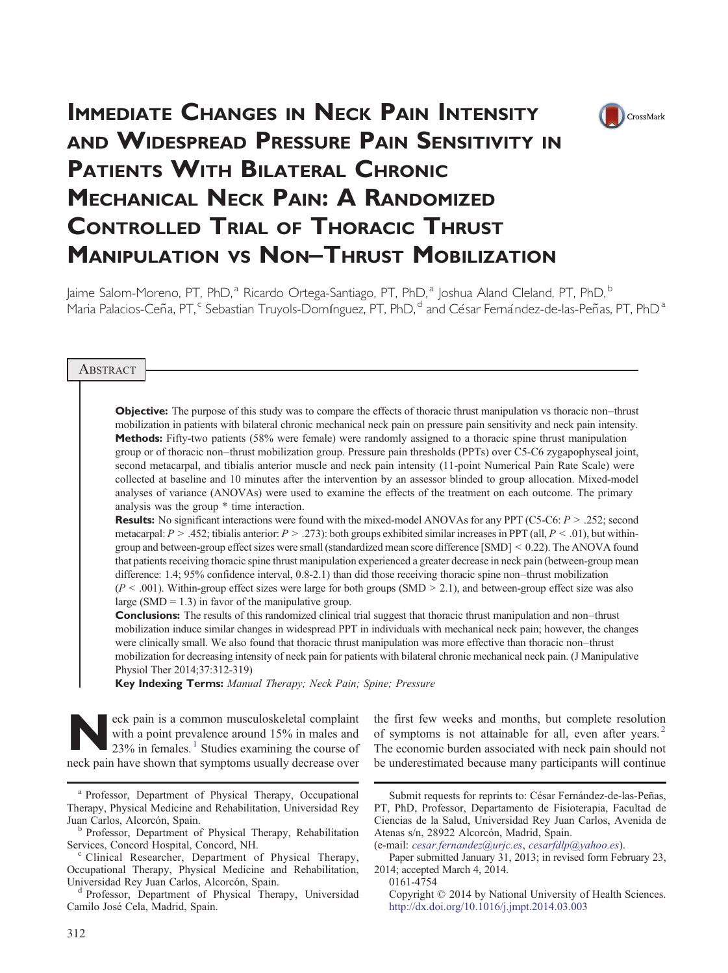

# IMMEDIATE CHANGES IN NECK PAIN INTENSITY AND WIDESPREAD PRESSURE PAIN SENSITIVITY IN PATIENTS WITH BILATERAL CHRONIC **MECHANICAL NECK PAIN: A RANDOMIZED** CONTROLLED TRIAL OF THORACIC THRUST **MANIPULATION VS NON–THRUST MOBILIZATION**

Jaime Salom-Moreno, PT, PhD,<sup>a</sup> Ricardo Ortega-Santiago, PT, PhD,<sup>a</sup> Joshua Aland Cleland, PT, PhD,<sup>b</sup> Maria Palacios-Ceña, PT, <sup>c</sup> Sebastian Truyols-Domínguez, PT, PhD, <sup>d</sup> and César Fernández-de-las-Peñas, PT, PhD<sup>a</sup>

# **ABSTRACT**

**Objective:** The purpose of this study was to compare the effects of thoracic thrust manipulation vs thoracic non–thrust mobilization in patients with bilateral chronic mechanical neck pain on pressure pain sensitivity and neck pain intensity. **Methods:** Fifty-two patients (58% were female) were randomly assigned to a thoracic spine thrust manipulation group or of thoracic non–thrust mobilization group. Pressure pain thresholds (PPTs) over C5-C6 zygapophyseal joint, second metacarpal, and tibialis anterior muscle and neck pain intensity (11-point Numerical Pain Rate Scale) were collected at baseline and 10 minutes after the intervention by an assessor blinded to group allocation. Mixed-model analyses of variance (ANOVAs) were used to examine the effects of the treatment on each outcome. The primary analysis was the group \* time interaction.

**Results:** No significant interactions were found with the mixed-model ANOVAs for any PPT (C5-C6:  $P > .252$ ; second metacarpal:  $P > .452$ ; tibialis anterior:  $P > .273$ ): both groups exhibited similar increases in PPT (all,  $P < .01$ ), but withingroup and between-group effect sizes were small (standardized mean score difference  $[SMD] < 0.22$ ). The ANOVA found that patients receiving thoracic spine thrust manipulation experienced a greater decrease in neck pain (between-group mean difference: 1.4; 95% confidence interval, 0.8-2.1) than did those receiving thoracic spine non–thrust mobilization  $(P < .001)$ . Within-group effect sizes were large for both groups (SMD > 2.1), and between-group effect size was also large (SMD =  $1.3$ ) in favor of the manipulative group.

Conclusions: The results of this randomized clinical trial suggest that thoracic thrust manipulation and non–thrust mobilization induce similar changes in widespread PPT in individuals with mechanical neck pain; however, the changes were clinically small. We also found that thoracic thrust manipulation was more effective than thoracic non–thrust mobilization for decreasing intensity of neck pain for patients with bilateral chronic mechanical neck pain. (J Manipulative Physiol Ther 2014;37:312-319)

Key Indexing Terms: Manual Therapy; Neck Pain; Spine; Pressure

eck pain is a common musculoskeletal complaint<br>with a point prevalence around 15% in males and<br>23% in females[.](#page-6-0)<sup>[1](#page-6-0)</sup> Studies examining the course of with a point prevalence around 15% in males and neck pain have shown that symptoms usually decrease over

Camilo José Cela, Madrid, Spain.

the first few weeks and months, but complete resolution of symptoms is not attainable for all, even after years[.](#page-6-0)<sup>[2](#page-6-0)</sup> The economic burden associated with neck pain should not be underestimated because many participants will continue

<sup>a</sup> Professor, Department of Physical Therapy, Occupational Therapy, Physical Medicine and Rehabilitation, Universidad Rey Juan Carlos, Alcorcón, Spain. <sup>b</sup> Professor, Department of Physical Therapy, Rehabilitation

Services, Concord Hospital, Concord, NH.<br>c Clinical Researcher, Department of Physical Therapy,

Occupational Therapy, Physical Medicine and Rehabilitation, Universidad Rey Juan Carlos, Alcorcón, Spain. <sup>d</sup> Professor, Department of Physical Therapy, Universidad

Submit requests for reprints to: César Fernández-de-las-Peñas, PT, PhD, Professor, Departamento de Fisioterapia, Facultad de Ciencias de la Salud, Universidad Rey Juan Carlos, Avenida de Atenas s/n, 28922 Alcorcón, Madrid, Spain.

 $(e-mail: cesar. fernandez@urjc. es, cesarfdlp@yahoo. es).$ 

Paper submitted January 31, 2013; in revised form February 23, 2014; accepted March 4, 2014.

<sup>0161-4754</sup>

Copyright © 2014 by National University of Health Sciences. <http://dx.doi.org/10.1016/j.jmpt.2014.03.003>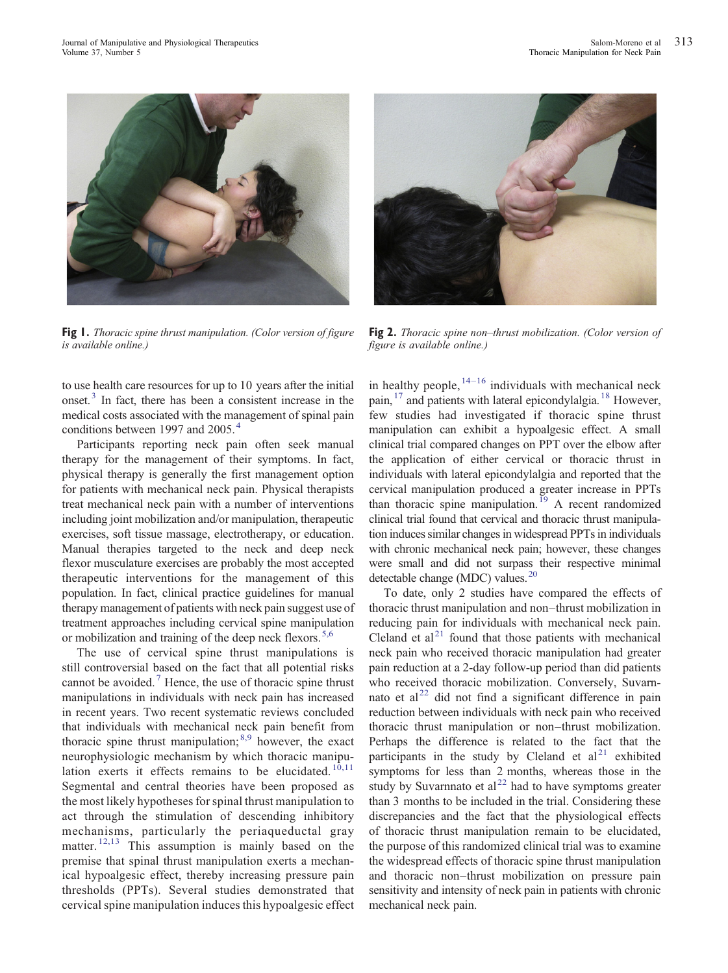<span id="page-1-0"></span>

Fig 1. Thoracic spine thrust manipulation. (Color version of figure is available online.)

to use health care resources for up to 10 years after the initial onset[.](#page-6-0)<sup>[3](#page-6-0)</sup> In fact, there has been a consistent increase in the medical costs associated with the management of spinal pain conditions between 1997 and 2005[.](#page-6-0)<sup>[4](#page-6-0)</sup>

Participants reporting neck pain often seek manual therapy for the management of their symptoms. In fact, physical therapy is generally the first management option for patients with mechanical neck pain. Physical therapists treat mechanical neck pain with a number of interventions including joint mobilization and/or manipulation, therapeutic exercises, soft tissue massage, electrotherapy, or education. Manual therapies targeted to the neck and deep neck flexor musculature exercises are probably the most accepted therapeutic interventions for the management of this population. In fact, clinical practice guidelines for manual therapy management of patients with neck pain suggest use of treatment approaches including cervical spine manipulation or mobilization and training of the deep neck flexors[.](#page-6-0)  $5,6$ 

The use of cervical spine thrust manipulations is still controversial based on the fact that all potential risks cannot be avoided[.](#page-6-0) $<sup>7</sup>$  $<sup>7</sup>$  $<sup>7</sup>$  Hence, the use of thoracic spine thrust</sup> manipulations in individuals with neck pain has increased in recent years. Two recent systematic reviews concluded that individuals with mechanical neck pain benefit from thoracic spine thrust manipulation[;](#page-6-0)  $8,9$  however, the exact neurophysiologic mechanism by which thoracic manipu-lation exerts it effects remains to be elucidated[.](#page-6-0)  $10,11$ Segmental and central theories have been proposed as the most likely hypotheses for spinal thrust manipulation to act through the stimulation of descending inhibitory mechanisms, particularly the periaqueductal gray matter[.](#page-6-0)<sup>[12,13](#page-6-0)</sup> This assumption is mainly based on the premise that spinal thrust manipulation exerts a mechanical hypoalgesic effect, thereby increasing pressure pain thresholds (PPTs). Several studies demonstrated that cervical spine manipulation induces this hypoalgesic effect



Fig 2. Thoracic spine non–thrust mobilization. (Color version of figure is available online.)

in healthy people[,](#page-6-0)  $14-16$  $14-16$  individuals with mechanical neck pain[,](#page-6-0)<sup>[17](#page-6-0)</sup> and patients with lateral epicondylalgia[.](#page-6-0)<sup>[18](#page-6-0)</sup> However, few studies had investigated if thoracic spine thrust manipulation can exhibit a hypoalgesic effect. A small clinical trial compared changes on PPT over the elbow after the application of either cervical or thoracic thrust in individuals with lateral epicondylalgia and reported that the cervical manipulation produced a greater increase in PPTs than thoracic spine manipulation[.](#page-7-0)<sup>[19](#page-7-0)</sup> A recent randomized clinical trial found that cervical and thoracic thrust manipulation induces similar changes in widespread PPTs in individuals with chronic mechanical neck pain; however, these changes were small and did not surpass their respective minimal detectable change (MDC) values[.](#page-7-0)<sup>[20](#page-7-0)</sup>

To date, only 2 studies have compared the effects of thoracic thrust manipulation and non–thrust mobilization in reducing pain for individuals with mechanical neck pain. C[l](#page-7-0)eland et  $al^{21}$  $al^{21}$  $al^{21}$  found that those patients with mechanical neck pain who received thoracic manipulation had greater pain reduction at a 2-day follow-up period than did patients who received thoracic mobilization. Conversely, Suvarn-nato et al<sup>[22](#page-7-0)</sup> did not find a significant difference in pain reduction between individuals with neck pain who received thoracic thrust manipulation or non–thrust mobilization. Perhaps the difference is related to the fact that the participants in the study by C[l](#page-7-0)eland et  $al<sup>21</sup>$  $al<sup>21</sup>$  $al<sup>21</sup>$  exhibited symptoms for less than 2 months, whereas those in the study by Suvarnnato et a[l](#page-7-0)<sup>[22](#page-7-0)</sup> had to have symptoms greater than 3 months to be included in the trial. Considering these discrepancies and the fact that the physiological effects of thoracic thrust manipulation remain to be elucidated, the purpose of this randomized clinical trial was to examine the widespread effects of thoracic spine thrust manipulation and thoracic non–thrust mobilization on pressure pain sensitivity and intensity of neck pain in patients with chronic mechanical neck pain.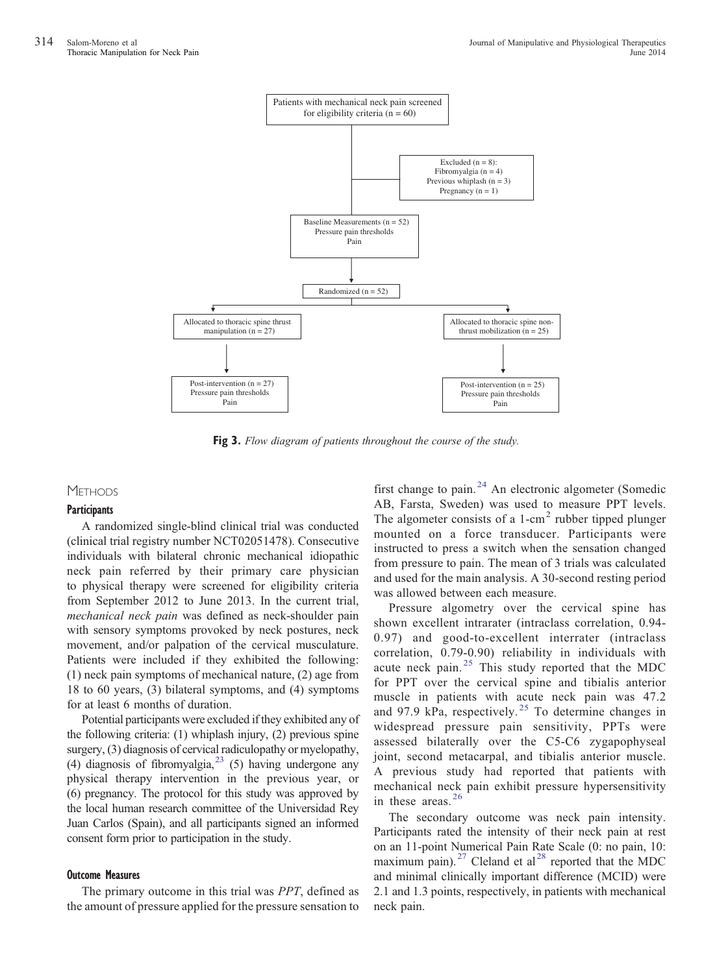<span id="page-2-0"></span>

Fig 3. Flow diagram of patients throughout the course of the study.

## **METHODS**

#### **Participants**

A randomized single-blind clinical trial was conducted (clinical trial registry number NCT02051478). Consecutive individuals with bilateral chronic mechanical idiopathic neck pain referred by their primary care physician to physical therapy were screened for eligibility criteria from September 2012 to June 2013. In the current trial, mechanical neck pain was defined as neck-shoulder pain with sensory symptoms provoked by neck postures, neck movement, and/or palpation of the cervical musculature. Patients were included if they exhibited the following: (1) neck pain symptoms of mechanical nature, (2) age from 18 to 60 years, (3) bilateral symptoms, and (4) symptoms for at least 6 months of duration.

Potential participants were excluded if they exhibited any of the following criteria: (1) whiplash injury, (2) previous spine surgery, (3) diagnosis of cervical radiculopathy or myelopathy, (4) diagnosis of fibromyalgia[,](#page-7-0)  $^{23}$  $^{23}$  $^{23}$  (5) having undergone any physical therapy intervention in the previous year, or (6) pregnancy. The protocol for this study was approved by the local human research committee of the Universidad Rey Juan Carlos (Spain), and all participants signed an informed consent form prior to participation in the study.

## Outcome Measures

The primary outcome in this trial was PPT, defined as the amount of pressure applied for the pressure sensation to first change to pain[.](#page-7-0) [24](#page-7-0) An electronic algometer (Somedic AB, Farsta, Sweden) was used to measure PPT levels. The algometer consists of a  $1$ -cm<sup>2</sup> rubber tipped plunger mounted on a force transducer. Participants were instructed to press a switch when the sensation changed from pressure to pain. The mean of 3 trials was calculated and used for the main analysis. A 30-second resting period was allowed between each measure.

Pressure algometry over the cervical spine has shown excellent intrarater (intraclass correlation, 0.94- 0.97) and good-to-excellent interrater (intraclass correlation, 0.79-0.90) reliability in individuals with acute neck pain[.](#page-7-0) $25$  This study reported that the MDC for PPT over the cervical spine and tibialis anterior muscle in patients with acute neck pain was 47.2 and 97[.](#page-7-0)9 kPa, respectively.<sup>[25](#page-7-0)</sup> To determine changes in widespread pressure pain sensitivity, PPTs were assessed bilaterally over the C5-C6 zygapophyseal joint, second metacarpal, and tibialis anterior muscle. A previous study had reported that patients with mechanical neck pain exhibit pressure hypersensitivity in these areas[.](#page-7-0)<sup>[26](#page-7-0)</sup>

The secondary outcome was neck pain intensity. Participants rated the intensity of their neck pain at rest on an 11-point Numerical Pain Rate Scale (0: no pain, 10: maximum pain)[.](#page-7-0) $27$  C[l](#page-7-0)eland et al<sup>[28](#page-7-0)</sup> reported that the MDC and minimal clinically important difference (MCID) were 2.1 and 1.3 points, respectively, in patients with mechanical neck pain.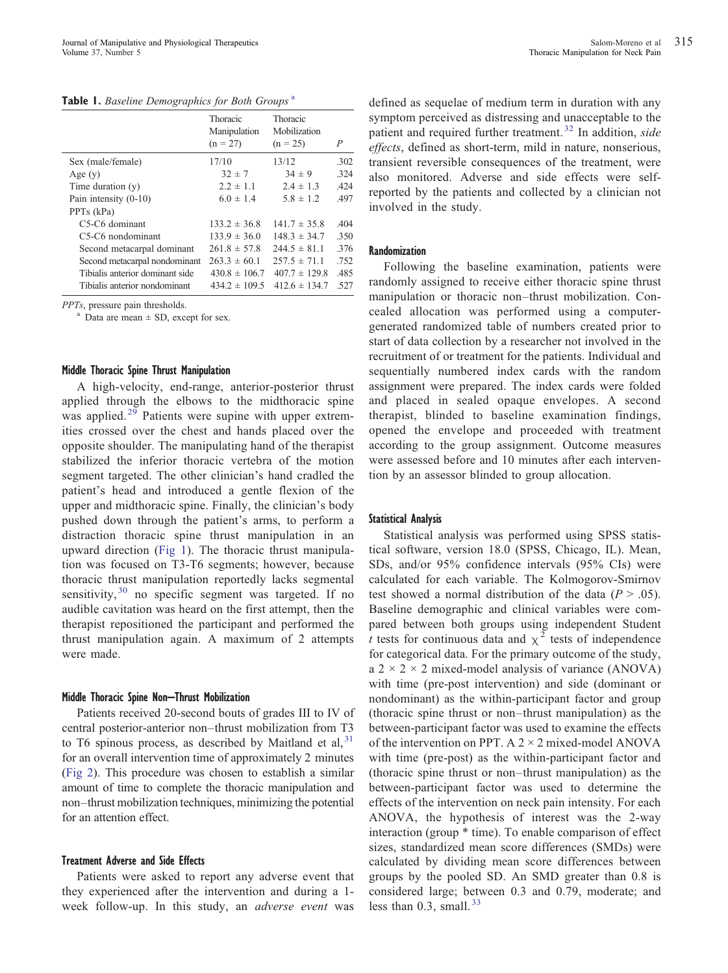<span id="page-3-0"></span>Table 1. Baseline Demographics for Both Groups<sup>a</sup>

|                                 | <b>Thoracic</b><br>Manipulation<br>$(n = 27)$ | Thoracic<br>Mobilization<br>$(n = 25)$ | P    |
|---------------------------------|-----------------------------------------------|----------------------------------------|------|
| Sex (male/female)               | 17/10                                         | 13/12                                  | .302 |
| Age(y)                          | $32 \pm 7$                                    | $34 \pm 9$                             | .324 |
| Time duration $(y)$             | $2.2 \pm 1.1$                                 | $2.4 \pm 1.3$                          | .424 |
| Pain intensity $(0-10)$         | $6.0 \pm 1.4$                                 | $5.8 \pm 1.2$                          | .497 |
| PPTs (kPa)                      |                                               |                                        |      |
| C5-C6 dominant                  | $133.2 \pm 36.8$                              | $141.7 \pm 35.8$                       | .404 |
| C5-C6 nondominant               | $133.9 \pm 36.0$                              | $1483 \pm 347$                         | .350 |
| Second metacarpal dominant      | $261.8 \pm 57.8$                              | $244.5 \pm 81.1$                       | .376 |
| Second metacarpal nondominant   | $263.3 \pm 60.1$                              | $257.5 \pm 71.1$                       | .752 |
| Tibialis anterior dominant side | $430.8 \pm 106.7$                             | $407.7 \pm 129.8$                      | .485 |
| Tibialis anterior nondominant   | $434.2 \pm 109.5$                             | $412.6 \pm 134.7$                      | .527 |

PPTs, pressure pain thresholds.

<sup>a</sup> Data are mean  $\pm$  SD, except for sex.

#### Middle Thoracic Spine Thrust Manipulation

A high-velocity, end-range, anterior-posterior thrust applied through the elbows to the midthoracic spine was applied[.](#page-7-0)<sup>[29](#page-7-0)</sup> Patients were supine with upper extremities crossed over the chest and hands placed over the opposite shoulder. The manipulating hand of the therapist stabilized the inferior thoracic vertebra of the motion segment targeted. The other clinician's hand cradled the patient's head and introduced a gentle flexion of the upper and midthoracic spine. Finally, the clinician's body pushed down through the patient's arms, to perform a distraction thoracic spine thrust manipulation in an upward direction ([Fig 1](#page-1-0)). The thoracic thrust manipulation was focused on T3-T6 segments; however, because thoracic thrust manipulation reportedly lacks segmental sensitivity[,](#page-7-0)  $30$  no specific segment was targeted. If no audible cavitation was heard on the first attempt, then the therapist repositioned the participant and performed the thrust manipulation again. A maximum of 2 attempts were made.

#### Middle Thoracic Spine Non–Thrust Mobilization

Patients received 20-second bouts of grades III to IV of central posterior-anterior non–thrust mobilization from T3 to T6 spinous process[,](#page-7-0) as described by Maitland et al,  $31$ for an overall intervention time of approximately 2 minutes [\(Fig 2\)](#page-1-0). This procedure was chosen to establish a similar amount of time to complete the thoracic manipulation and non–thrust mobilization techniques, minimizing the potential for an attention effect.

## Treatment Adverse and Side Effects

Patients were asked to report any adverse event that they experienced after the intervention and during a 1 week follow-up. In this study, an adverse event was defined as sequelae of medium term in duration with any symptom perceived as distressing and unacceptable to the patient and required further treatment[.](#page-7-0)<sup>[32](#page-7-0)</sup> In addition, side effects, defined as short-term, mild in nature, nonserious, transient reversible consequences of the treatment, were also monitored. Adverse and side effects were selfreported by the patients and collected by a clinician not involved in the study.

## Randomization

Following the baseline examination, patients were randomly assigned to receive either thoracic spine thrust manipulation or thoracic non–thrust mobilization. Concealed allocation was performed using a computergenerated randomized table of numbers created prior to start of data collection by a researcher not involved in the recruitment of or treatment for the patients. Individual and sequentially numbered index cards with the random assignment were prepared. The index cards were folded and placed in sealed opaque envelopes. A second therapist, blinded to baseline examination findings, opened the envelope and proceeded with treatment according to the group assignment. Outcome measures were assessed before and 10 minutes after each intervention by an assessor blinded to group allocation.

#### Statistical Analysis

Statistical analysis was performed using SPSS statistical software, version 18.0 (SPSS, Chicago, IL). Mean, SDs, and/or 95% confidence intervals (95% CIs) were calculated for each variable. The Kolmogorov-Smirnov test showed a normal distribution of the data ( $P > .05$ ). Baseline demographic and clinical variables were compared between both groups using independent Student t tests for continuous data and  $\chi^2$  tests of independence for categorical data. For the primary outcome of the study, a  $2 \times 2 \times 2$  mixed-model analysis of variance (ANOVA) with time (pre-post intervention) and side (dominant or nondominant) as the within-participant factor and group (thoracic spine thrust or non–thrust manipulation) as the between-participant factor was used to examine the effects of the intervention on PPT. A  $2 \times 2$  mixed-model ANOVA with time (pre-post) as the within-participant factor and (thoracic spine thrust or non–thrust manipulation) as the between-participant factor was used to determine the effects of the intervention on neck pain intensity. For each ANOVA, the hypothesis of interest was the 2-way interaction (group \* time). To enable comparison of effect sizes, standardized mean score differences (SMDs) were calculated by dividing mean score differences between groups by the pooled SD. An SMD greater than 0.8 is considered large; between 0.3 and 0.79, moderate; and less than  $0.3$  $0.3$  $0.3$ , small.<sup>[33](#page-7-0)</sup>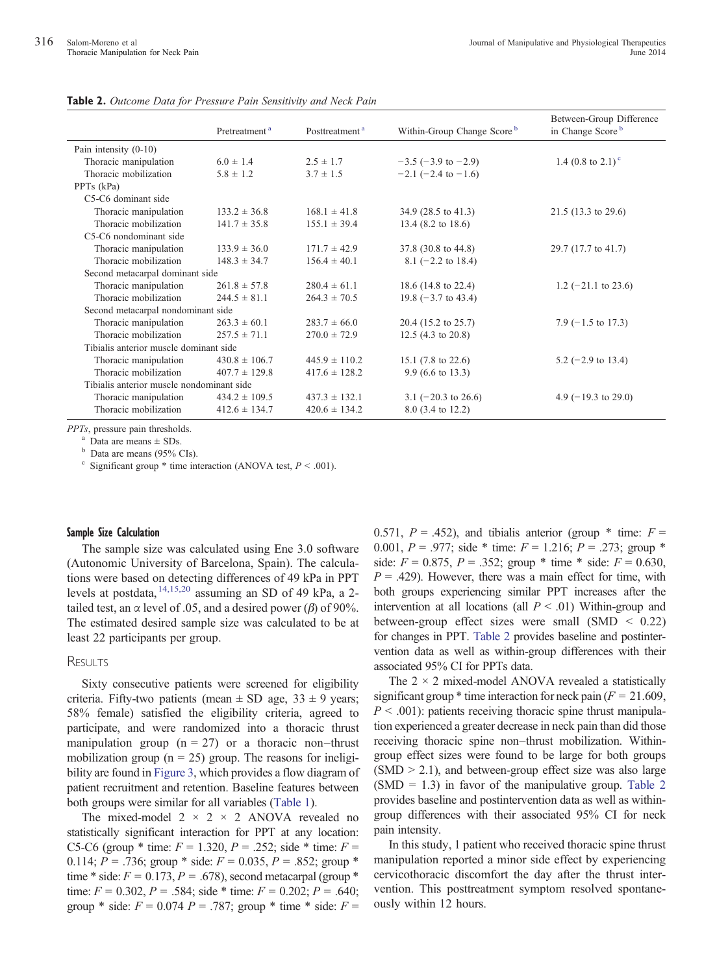|                                           | Pretreatment <sup>a</sup> | Posttreatment <sup>a</sup> | Within-Group Change Score <sup>b</sup> | Between-Group Difference<br>in Change Score <sup>b</sup> |  |  |
|-------------------------------------------|---------------------------|----------------------------|----------------------------------------|----------------------------------------------------------|--|--|
|                                           |                           |                            |                                        |                                                          |  |  |
| Pain intensity $(0-10)$                   |                           |                            |                                        |                                                          |  |  |
| Thoracic manipulation                     | $6.0 \pm 1.4$             | $2.5 \pm 1.7$              | $-3.5$ ( $-3.9$ to $-2.9$ )            | 1.4 $(0.8 \text{ to } 2.1)^{\circ}$                      |  |  |
| Thoracic mobilization                     | $5.8 \pm 1.2$             | $3.7 \pm 1.5$              | $-2.1$ (-2.4 to $-1.6$ )               |                                                          |  |  |
| PPTs (kPa)                                |                           |                            |                                        |                                                          |  |  |
| C5-C6 dominant side                       |                           |                            |                                        |                                                          |  |  |
| Thoracic manipulation                     | $133.2 \pm 36.8$          | $168.1 \pm 41.8$           | 34.9 (28.5 to 41.3)                    | 21.5 (13.3 to 29.6)                                      |  |  |
| Thoracic mobilization                     | $141.7 \pm 35.8$          | $155.1 \pm 39.4$           | 13.4 (8.2 to 18.6)                     |                                                          |  |  |
| C5-C6 nondominant side                    |                           |                            |                                        |                                                          |  |  |
| Thoracic manipulation                     | $133.9 \pm 36.0$          | $171.7 \pm 42.9$           | 37.8 (30.8 to 44.8)                    | 29.7 (17.7 to 41.7)                                      |  |  |
| Thoracic mobilization                     | $148.3 \pm 34.7$          | $156.4 \pm 40.1$           | 8.1 $(-2.2 \text{ to } 18.4)$          |                                                          |  |  |
| Second metacarpal dominant side           |                           |                            |                                        |                                                          |  |  |
| Thoracic manipulation                     | $261.8 \pm 57.8$          | $280.4 \pm 61.1$           | 18.6 (14.8 to 22.4)                    | 1.2 $(-21.1 \text{ to } 23.6)$                           |  |  |
| Thoracic mobilization                     | $244.5 \pm 81.1$          | $264.3 \pm 70.5$           | 19.8 $(-3.7 \text{ to } 43.4)$         |                                                          |  |  |
| Second metacarpal nondominant side        |                           |                            |                                        |                                                          |  |  |
| Thoracic manipulation                     | $263.3 \pm 60.1$          | $283.7 \pm 66.0$           | 20.4 (15.2 to 25.7)                    | 7.9 $(-1.5 \text{ to } 17.3)$                            |  |  |
| Thoracic mobilization                     | $257.5 \pm 71.1$          | $270.0 \pm 72.9$           | 12.5 $(4.3 \text{ to } 20.8)$          |                                                          |  |  |
| Tibialis anterior muscle dominant side    |                           |                            |                                        |                                                          |  |  |
| Thoracic manipulation                     | $430.8 \pm 106.7$         | $445.9 \pm 110.2$          | 15.1 (7.8 to 22.6)                     | 5.2 $(-2.9 \text{ to } 13.4)$                            |  |  |
| Thoracic mobilization                     | $407.7 \pm 129.8$         | $417.6 \pm 128.2$          | 9.9 $(6.6 \text{ to } 13.3)$           |                                                          |  |  |
| Tibialis anterior muscle nondominant side |                           |                            |                                        |                                                          |  |  |
| Thoracic manipulation                     | $434.2 \pm 109.5$         | $437.3 \pm 132.1$          | 3.1 $(-20.3 \text{ to } 26.6)$         | 4.9 $(-19.3 \text{ to } 29.0)$                           |  |  |
| Thoracic mobilization                     | $412.6 \pm 134.7$         | $420.6 \pm 134.2$          | 8.0 (3.4 to 12.2)                      |                                                          |  |  |

Table 2. Outcome Data for Pressure Pain Sensitivity and Neck Pain

PPTs, pressure pain thresholds.

<sup>a</sup> Data are means  $\pm$  SDs.<br><sup>b</sup> Data are means (95% CIs).<br><sup>c</sup> Significant group \* time interaction (ANOVA test, *P* < .001).

#### Sample Size Calculation

The sample size was calculated using Ene 3.0 software (Autonomic University of Barcelona, Spain). The calculations were based on detecting differences of 49 kPa in PPT levels at postdata[,](#page-6-0)[14,15,20](#page-6-0) assuming an SD of 49 kPa, a 2 tailed test, an  $\alpha$  level of .05, and a desired power ( $\beta$ ) of 90%. The estimated desired sample size was calculated to be at least 22 participants per group.

#### **RESULTS**

Sixty consecutive patients were screened for eligibility criteria. Fifty-two patients (mean  $\pm$  SD age, 33  $\pm$  9 years; 58% female) satisfied the eligibility criteria, agreed to participate, and were randomized into a thoracic thrust manipulation group ( $n = 27$ ) or a thoracic non–thrust mobilization group ( $n = 25$ ) group. The reasons for ineligibility are found in [Figure 3,](#page-2-0) which provides a flow diagram of patient recruitment and retention. Baseline features between both groups were similar for all variables [\(Table 1\)](#page-3-0).

The mixed-model  $2 \times 2 \times 2$  ANOVA revealed no statistically significant interaction for PPT at any location: C5-C6 (group  $*$  time:  $F = 1.320$ ,  $P = .252$ ; side  $*$  time:  $F =$ 0.114;  $P = .736$ ; group \* side:  $F = 0.035$ ,  $P = .852$ ; group \* time \* side:  $F = 0.173$ ,  $P = .678$ ), second metacarpal (group \* time:  $F = 0.302$ ,  $P = .584$ ; side \* time:  $F = 0.202$ ;  $P = .640$ ; group \* side:  $F = 0.074$   $P = .787$ ; group \* time \* side:  $F =$  0.571,  $P = .452$ ), and tibialis anterior (group  $*$  time:  $F =$ 0.001,  $P = 0.977$ ; side \* time:  $F = 1.216$ ;  $P = 0.273$ ; group \* side:  $F = 0.875$ ,  $P = .352$ ; group \* time \* side:  $F = 0.630$ ,  $P = .429$ ). However, there was a main effect for time, with both groups experiencing similar PPT increases after the intervention at all locations (all  $P < .01$ ) Within-group and between-group effect sizes were small  $(SMD < 0.22)$ for changes in PPT. Table 2 provides baseline and postintervention data as well as within-group differences with their associated 95% CI for PPTs data.

The  $2 \times 2$  mixed-model ANOVA revealed a statistically significant group  $*$  time interaction for neck pain ( $F = 21.609$ ,  $P < .001$ ): patients receiving thoracic spine thrust manipulation experienced a greater decrease in neck pain than did those receiving thoracic spine non–thrust mobilization. Withingroup effect sizes were found to be large for both groups  $(SMD > 2.1)$ , and between-group effect size was also large  $(SMD = 1.3)$  in favor of the manipulative group. Table 2 provides baseline and postintervention data as well as withingroup differences with their associated 95% CI for neck pain intensity.

In this study, 1 patient who received thoracic spine thrust manipulation reported a minor side effect by experiencing cervicothoracic discomfort the day after the thrust intervention. This posttreatment symptom resolved spontaneously within 12 hours.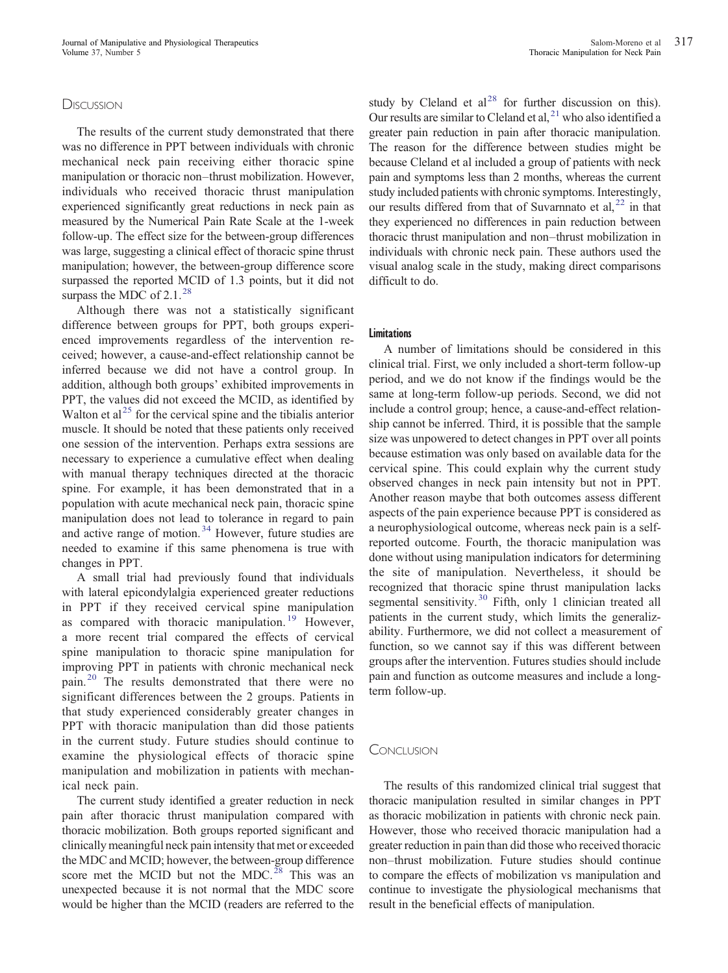#### **DISCUSSION**

The results of the current study demonstrated that there was no difference in PPT between individuals with chronic mechanical neck pain receiving either thoracic spine manipulation or thoracic non–thrust mobilization. However, individuals who received thoracic thrust manipulation experienced significantly great reductions in neck pain as measured by the Numerical Pain Rate Scale at the 1-week follow-up. The effect size for the between-group differences was large, suggesting a clinical effect of thoracic spine thrust manipulation; however, the between-group difference score surpassed the reported MCID of 1.3 points, but it did not surpass the MDC of  $2.1<sup>28</sup>$  $2.1<sup>28</sup>$  $2.1<sup>28</sup>$  $2.1<sup>28</sup>$  $2.1<sup>28</sup>$ 

Although there was not a statistically significant difference between groups for PPT, both groups experienced improvements regardless of the intervention received; however, a cause-and-effect relationship cannot be inferred because we did not have a control group. In addition, although both groups' exhibited improvements in PPT, the values did not exceed the MCID, as identified by Wa[l](#page-7-0)ton et al<sup>[25](#page-7-0)</sup> for the cervical spine and the tibialis anterior muscle. It should be noted that these patients only received one session of the intervention. Perhaps extra sessions are necessary to experience a cumulative effect when dealing with manual therapy techniques directed at the thoracic spine. For example, it has been demonstrated that in a population with acute mechanical neck pain, thoracic spine manipulation does not lead to tolerance in regard to pain and active range of motion[.](#page-7-0) [34](#page-7-0) However, future studies are needed to examine if this same phenomena is true with changes in PPT.

A small trial had previously found that individuals with lateral epicondylalgia experienced greater reductions in PPT if they received cervical spine manipulation as compared with thoracic manipulation[.](#page-7-0)<sup>[19](#page-7-0)</sup> However, a more recent trial compared the effects of cervical spine manipulation to thoracic spine manipulation for improving PPT in patients with chronic mechanical neck pain[.](#page-7-0)<sup>[20](#page-7-0)</sup> The results demonstrated that there were no significant differences between the 2 groups. Patients in that study experienced considerably greater changes in PPT with thoracic manipulation than did those patients in the current study. Future studies should continue to examine the physiological effects of thoracic spine manipulation and mobilization in patients with mechanical neck pain.

The current study identified a greater reduction in neck pain after thoracic thrust manipulation compared with thoracic mobilization. Both groups reported significant and clinically meaningful neck pain intensity that met or exceeded the MDC and MCID; however, the between-group difference score met the MCID but not the MDC[.](#page-7-0)<sup>[28](#page-7-0)</sup> This was an unexpected because it is not normal that the MDC score would be higher than the MCID (readers are referred to the

study by C[l](#page-7-0)eland et  $al^{28}$  $al^{28}$  $al^{28}$  for further discussion on this). Our results are similar to Cleland et al[,](#page-7-0)  $^{21}$  $^{21}$  $^{21}$  who also identified a greater pain reduction in pain after thoracic manipulation. The reason for the difference between studies might be because Cleland et al included a group of patients with neck pain and symptoms less than 2 months, whereas the current study included patients with chronic symptoms. Interestingly, our results differed from that of Suvarnnato et al[,](#page-7-0)  $^{22}$  $^{22}$  $^{22}$  in that they experienced no differences in pain reduction between thoracic thrust manipulation and non–thrust mobilization in individuals with chronic neck pain. These authors used the visual analog scale in the study, making direct comparisons difficult to do.

#### **Limitations**

A number of limitations should be considered in this clinical trial. First, we only included a short-term follow-up period, and we do not know if the findings would be the same at long-term follow-up periods. Second, we did not include a control group; hence, a cause-and-effect relationship cannot be inferred. Third, it is possible that the sample size was unpowered to detect changes in PPT over all points because estimation was only based on available data for the cervical spine. This could explain why the current study observed changes in neck pain intensity but not in PPT. Another reason maybe that both outcomes assess different aspects of the pain experience because PPT is considered as a neurophysiological outcome, whereas neck pain is a selfreported outcome. Fourth, the thoracic manipulation was done without using manipulation indicators for determining the site of manipulation. Nevertheless, it should be recognized that thoracic spine thrust manipulation lacks segmental sensitivity[.](#page-7-0)<sup>[30](#page-7-0)</sup> Fifth, only 1 clinician treated all patients in the current study, which limits the generalizability. Furthermore, we did not collect a measurement of function, so we cannot say if this was different between groups after the intervention. Futures studies should include pain and function as outcome measures and include a longterm follow-up.

## **CONCLUSION**

The results of this randomized clinical trial suggest that thoracic manipulation resulted in similar changes in PPT as thoracic mobilization in patients with chronic neck pain. However, those who received thoracic manipulation had a greater reduction in pain than did those who received thoracic non–thrust mobilization. Future studies should continue to compare the effects of mobilization vs manipulation and continue to investigate the physiological mechanisms that result in the beneficial effects of manipulation.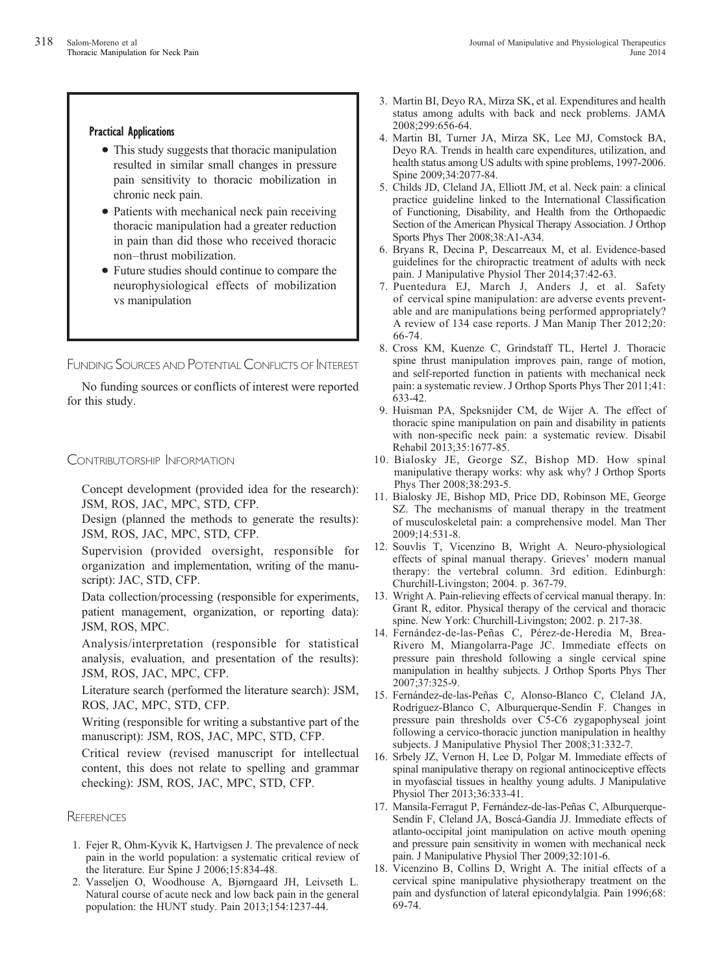## <span id="page-6-0"></span>Practical Applications

- This study suggests that thoracic manipulation resulted in similar small changes in pressure pain sensitivity to thoracic mobilization in chronic neck pain.
- Patients with mechanical neck pain receiving thoracic manipulation had a greater reduction in pain than did those who received thoracic non–thrust mobilization.
- Future studies should continue to compare the neurophysiological effects of mobilization vs manipulation

FUNDING SOURCES AND POTENTIAL CONFLICTS OF INTEREST

No funding sources or conflicts of interest were reported for this study.

## CONTRIBUTORSHIP INFORMATION

Concept development (provided idea for the research): JSM, ROS, JAC, MPC, STD, CFP.

Design (planned the methods to generate the results): JSM, ROS, JAC, MPC, STD, CFP.

Supervision (provided oversight, responsible for organization and implementation, writing of the manuscript): JAC, STD, CFP.

Data collection/processing (responsible for experiments, patient management, organization, or reporting data): JSM, ROS, MPC.

Analysis/interpretation (responsible for statistical analysis, evaluation, and presentation of the results): JSM, ROS, JAC, MPC, CFP.

Literature search (performed the literature search): JSM, ROS, JAC, MPC, STD, CFP.

Writing (responsible for writing a substantive part of the manuscript): JSM, ROS, JAC, MPC, STD, CFP.

Critical review (revised manuscript for intellectual content, this does not relate to spelling and grammar checking): JSM, ROS, JAC, MPC, STD, CFP.

# **REFERENCES**

- 1. Fejer R, Ohm-Kyvik K, Hartvigsen J. The prevalence of neck pain in the world population: a systematic critical review of the literature. Eur Spine J 2006;15:834-48.
- 2. Vasseljen O, Woodhouse A, Bjørngaard JH, Leivseth L. Natural course of acute neck and low back pain in the general population: the HUNT study. Pain 2013;154:1237-44.
- 3. Martin BI, Deyo RA, Mirza SK, et al. Expenditures and health status among adults with back and neck problems. JAMA 2008;299:656-64.
- 4. Martin BI, Turner JA, Mirza SK, Lee MJ, Comstock BA, Deyo RA. Trends in health care expenditures, utilization, and health status among US adults with spine problems, 1997-2006. Spine 2009;34:2077-84.
- 5. Childs JD, Cleland JA, Elliott JM, et al. Neck pain: a clinical practice guideline linked to the International Classification of Functioning, Disability, and Health from the Orthopaedic Section of the American Physical Therapy Association. J Orthop Sports Phys Ther 2008;38:A1-A34.
- 6. Bryans R, Decina P, Descarreaux M, et al. Evidence-based guidelines for the chiropractic treatment of adults with neck pain. J Manipulative Physiol Ther 2014;37:42-63.
- 7. Puentedura EJ, March J, Anders J, et al. Safety of cervical spine manipulation: are adverse events preventable and are manipulations being performed appropriately? A review of 134 case reports. J Man Manip Ther 2012;20: 66-74.
- 8. Cross KM, Kuenze C, Grindstaff TL, Hertel J. Thoracic spine thrust manipulation improves pain, range of motion, and self-reported function in patients with mechanical neck pain: a systematic review. J Orthop Sports Phys Ther 2011;41: 633-42.
- 9. Huisman PA, Speksnijder CM, de Wijer A. The effect of thoracic spine manipulation on pain and disability in patients with non-specific neck pain: a systematic review. Disabil Rehabil 2013;35:1677-85.
- 10. Bialosky JE, George SZ, Bishop MD. How spinal manipulative therapy works: why ask why? J Orthop Sports Phys Ther 2008;38:293-5.
- 11. Bialosky JE, Bishop MD, Price DD, Robinson ME, George SZ. The mechanisms of manual therapy in the treatment of musculoskeletal pain: a comprehensive model. Man Ther 2009;14:531-8.
- 12. Souvlis T, Vicenzino B, Wright A. Neuro-physiological effects of spinal manual therapy. Grieves' modern manual therapy: the vertebral column. 3rd edition. Edinburgh: Churchill-Livingston; 2004. p. 367-79.
- 13. Wright A. Pain-relieving effects of cervical manual therapy. In: Grant R, editor. Physical therapy of the cervical and thoracic spine. New York: Churchill-Livingston; 2002. p. 217-38.
- 14. Fernández-de-las-Peñas C, Pérez-de-Heredia M, Brea-Rivero M, Miangolarra-Page JC. Immediate effects on pressure pain threshold following a single cervical spine manipulation in healthy subjects. J Orthop Sports Phys Ther 2007;37:325-9.
- 15. Fernández-de-las-Peñas C, Alonso-Blanco C, Cleland JA, Rodríguez-Blanco C, Alburquerque-Sendín F. Changes in pressure pain thresholds over C5-C6 zygapophyseal joint following a cervico-thoracic junction manipulation in healthy subjects. J Manipulative Physiol Ther 2008;31:332-7.
- 16. Srbely JZ, Vernon H, Lee D, Polgar M. Immediate effects of spinal manipulative therapy on regional antinociceptive effects in myofascial tissues in healthy young adults. J Manipulative Physiol Ther 2013;36:333-41.
- 17. Mansila-Ferragut P, Fernández-de-las-Peñas C, Alburquerque-Sendín F, Cleland JA, Boscá-Gandía JJ. Immediate effects of atlanto-occipital joint manipulation on active mouth opening and pressure pain sensitivity in women with mechanical neck pain. J Manipulative Physiol Ther 2009;32:101-6.
- 18. Vicenzino B, Collins D, Wright A. The initial effects of a cervical spine manipulative physiotherapy treatment on the pain and dysfunction of lateral epicondylalgia. Pain 1996;68: 69-74.